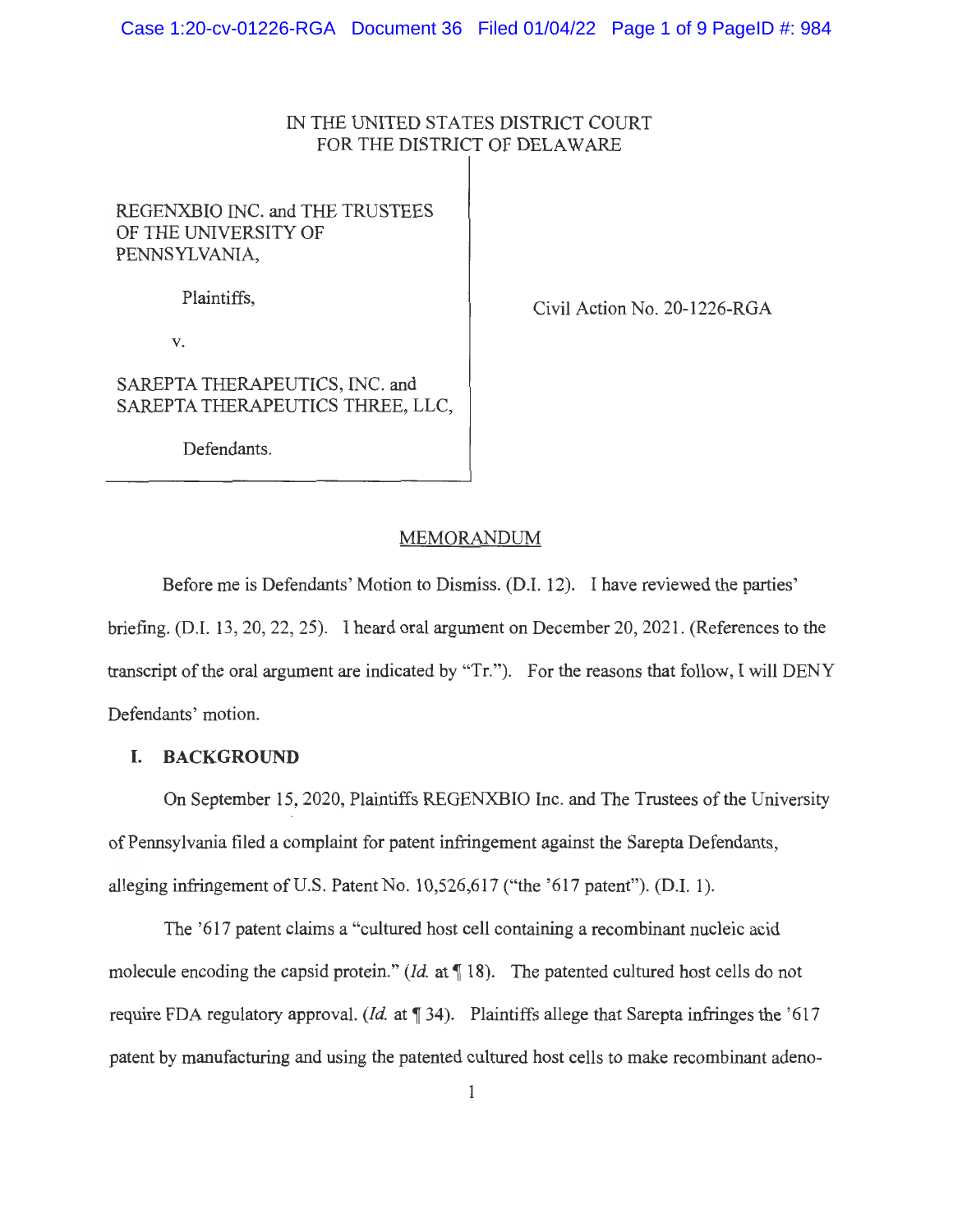# IN THE UNITED STATES DISTRICT COURT FOR THE DISTRICT OF DELAWARE

# REGENXBIO INC. and THE TRUSTEES OF THE UNIVERSITY OF PENNSYLVANIA,

Plaintiffs,

Civil Action No. 20-1226-RGA

V.

SAREPTA THERAPEUTICS, INC. and SAREPTA THERAPEUTICS THREE, LLC,

Defendants.

## MEMORANDUM

Before me is Defendants' Motion to Dismiss. (D.1. 12). I have reviewed the parties' briefing. (D.I. 13, 20, 22, 25). I heard oral argument on December 20, 2021. (References to the transcript of the oral argument are indicated by "Tr."). For the reasons that follow, I will DENY Defendants' motion.

## **I. BACKGROUND**

On September 15, 2020, Plaintiffs REGENXBIO Inc. and The Trustees of the University of Pennsylvania filed a complaint for patent infringement against the Sarepta Defendants, alleging infringement of U.S. Patent No.  $10,526,617$  ("the '617 patent"). (D.I. 1).

The '617 patent claims a "cultured host cell containing a recombinant nucleic acid molecule encoding the capsid protein." *(Id.* at 18). The patented cultured host cells do not require FDA regulatory approval. *(Id.* at 134). Plaintiffs allege that Sarepta infringes the '617 patent by manufacturing and using the patented cultured host cells to make recombinant adeno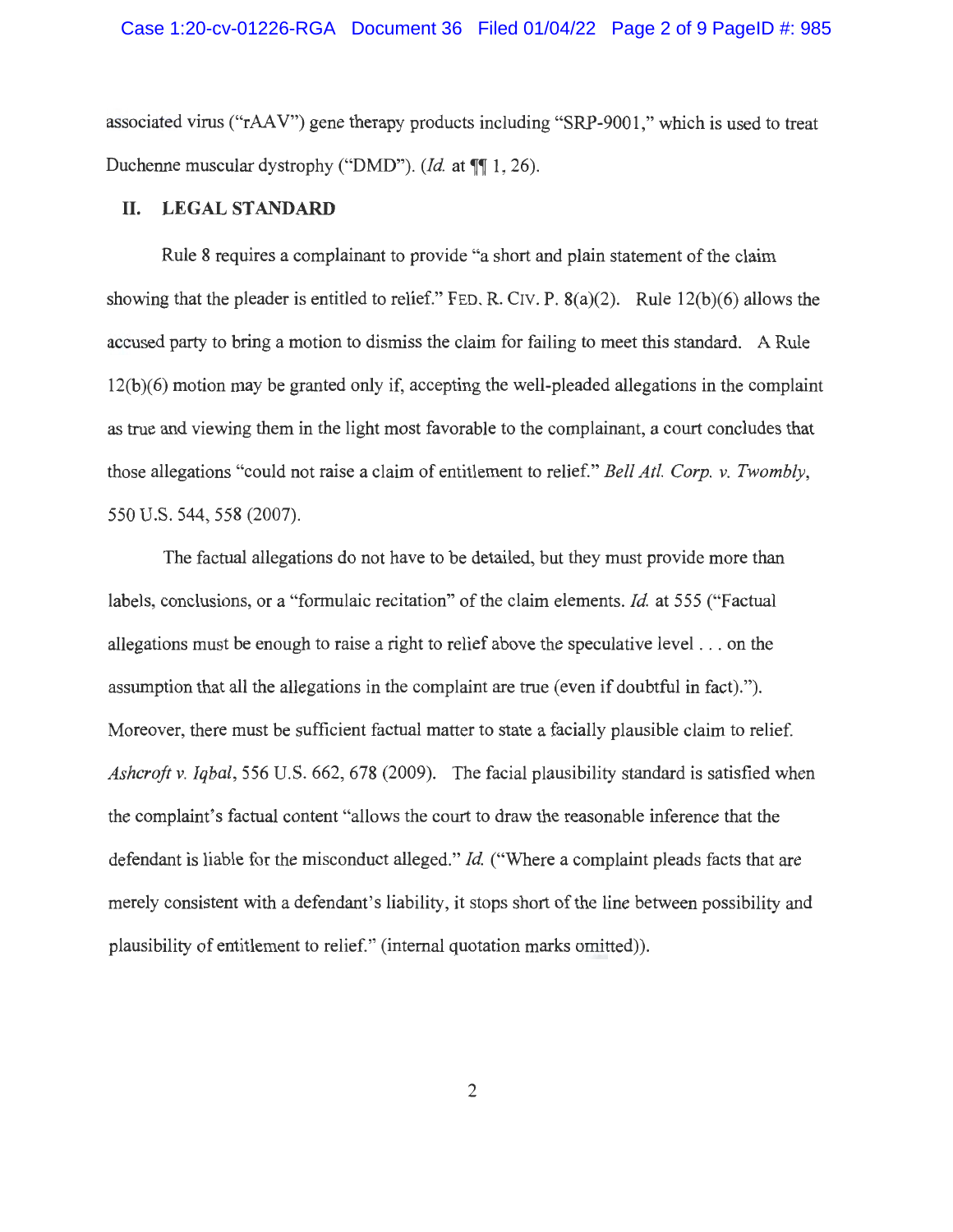associated virus ("rAA V") gene therapy products including "SRP-9001 ," which is used to treat Duchenne muscular dystrophy ("DMD"). *(Id.* at  $\P\P$  1, 26).

### **II.** LEGAL STANDARD

Rule 8 requires a complainant to provide "a short and plain statement of the claim showing that the pleader is entitled to relief." FED. R. CIV. P.  $8(a)(2)$ . Rule 12(b)(6) allows the accused party to bring a motion to dismiss the claim for failing to meet this standard. A Rule 12(b)(6) motion may be granted only if, accepting the well-pleaded allegations in the complaint as true and viewing them in the light most favorable to the complainant, a court concludes that those allegations "could not raise a claim of entitlement to relief." *Bell At/. Corp. v. Twombly,*  550 U.S. 544, 558 (2007).

The factual allegations do not have to be detailed, but they must provide more than labels, conclusions, or a "formulaic recitation" of the claim elements. *Id.* at 555 ("Factual allegations must be enough to raise a right to relief above the speculative level . .. on the assumption that all the allegations in the complaint are true (even if doubtful in fact). "). Moreover, there must be sufficient factual matter to state a facially plausible claim to relief. *Ashcroft v. Iqbal,* 556 U.S. 662, 678 (2009). The facial plausibility standard is satisfied when the complaint's factual content "allows the court to draw the reasonable inference that the defendant is liable for the misconduct alleged." *Id* ("Where a complaint pleads facts that are merely consistent with a defendant's liability, it stops short of the line between possibility and plausibility of entitlement to relief." (internal quotation marks omitted)).

2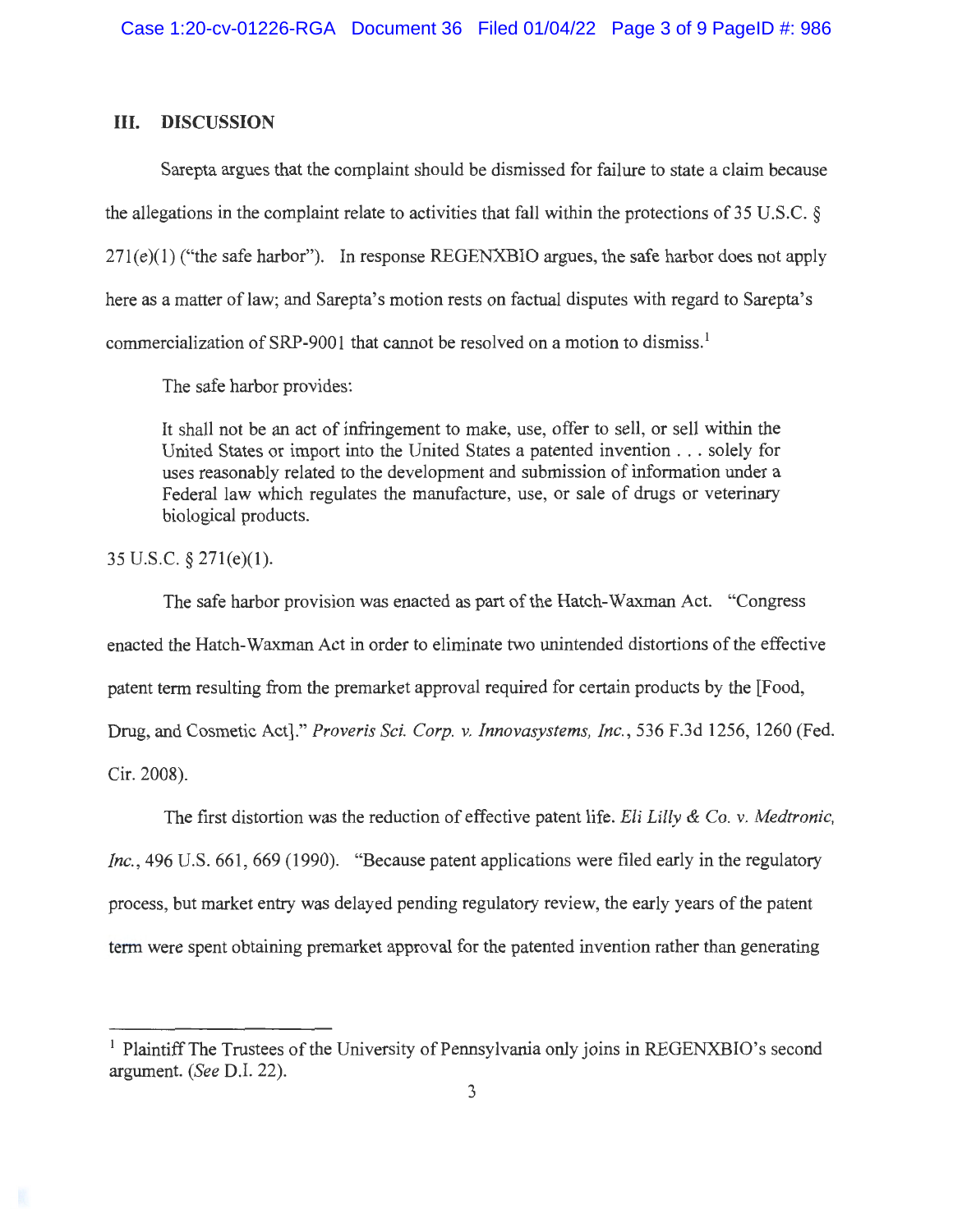### III. **DISCUSSION**

Sarepta argues that the complaint should be dismissed for failure to state a claim because the allegations in the complaint relate to activities that fall within the protections of 35 U.S.C. §  $271(e)(1)$  ("the safe harbor"). In response REGENXBIO argues, the safe harbor does not apply here as a matter of law; and Sarepta's motion rests on factual disputes with regard to Sarepta's commercialization of SRP-9001 that cannot be resolved on a motion to dismiss.<sup>1</sup>

The safe harbor provides:

It shall not be an act of infringement to make, use, offer to sell, or sell within the United States or import into the United States a patented invention ... solely for uses reasonably related to the development and submission of information under a Federal law which regulates the manufacture, use, or sale of drugs or veterinary biological products.

35 U.S.C. § 271(e)(l).

The safe harbor provision was enacted as part of the Hatch-Waxman Act. "Congress enacted the Hatch-Waxman Act in order to eliminate two unintended distortions of the effective patent term resulting from the premarket approval required for certain products by the [Food, Drug, and Cosmetic Act]." *Proveris Sci. Corp.* v. *Innovasystems, Inc.,* 536 F.3d 1256, 1260 (Fed. Cir. 2008).

The first distortion was the reduction of effective patent life. *Eli Lilly & Co.* v. *Medtronic, Inc.*, 496 U.S. 661, 669 (1990). "Because patent applications were filed early in the regulatory process, but market entry was delayed pending regulatory review, the early years of the patent term were spent obtaining premarket approval for the patented invention rather than generating

<sup>&</sup>lt;sup>1</sup> Plaintiff The Trustees of the University of Pennsylvania only joins in REGENXBIO's second argument. *(See* D.I. 22).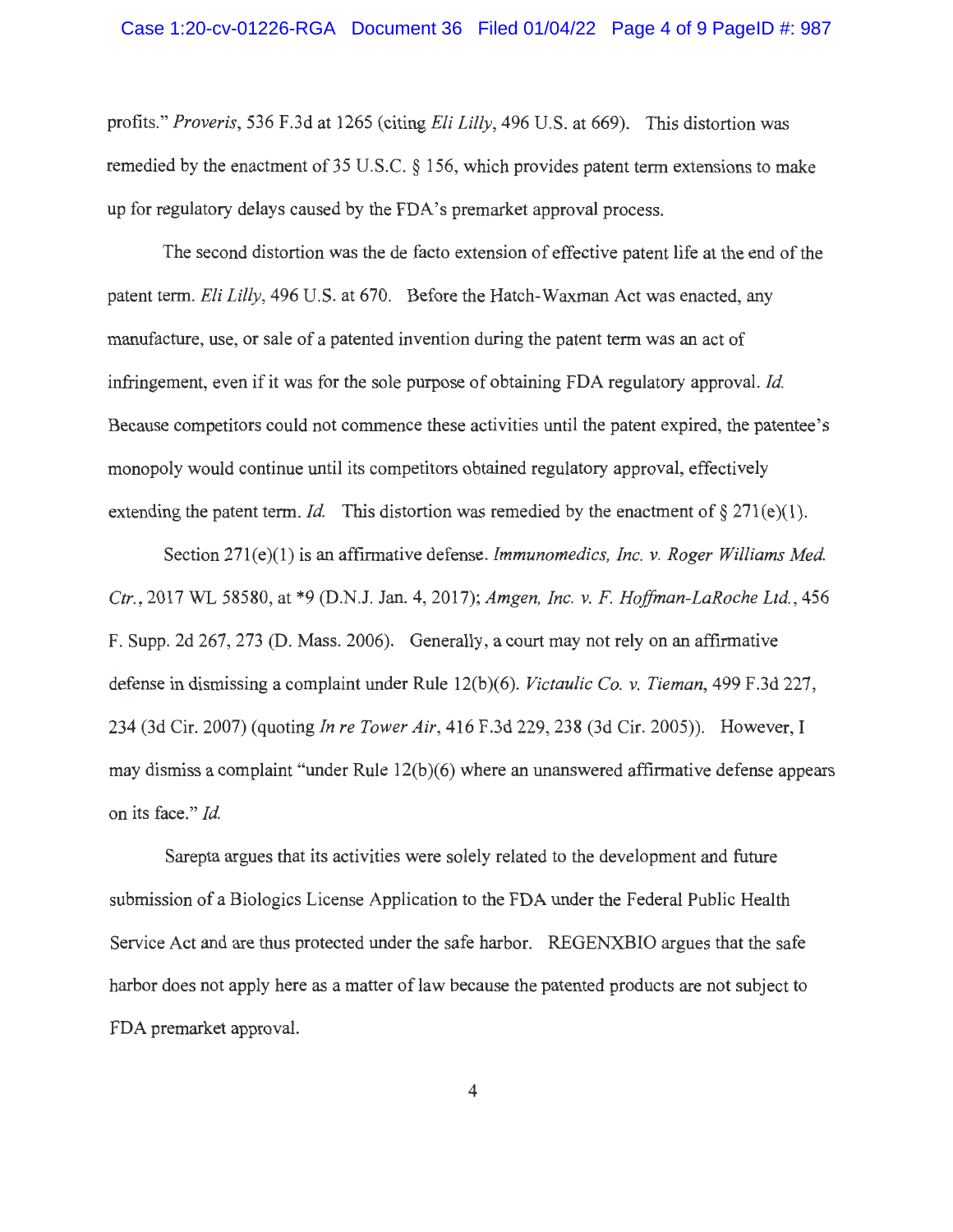profits." *Proveris,* 536 F.3d at 1265 (citing *Eli Lilly,* 496 U.S. at 669). This distortion was remedied by the enactment of 35 U.S.C. § 156, which provides patent term extensions to make up for regulatory delays caused by the FDA's premarket approval process.

The second distortion was the de facto extension of effective patent life at the end of the patent term. *Eli Lilly,* 496 U.S. at 670. Before the Hatch-Waxman Act was enacted, any manufacture, use, or sale of a patented invention during the patent term was an act of infringement, even if it was for the sole purpose of obtaining FDA regulatory approval. *Id.*  Because competitors could not commence these activities until the patent expired, the patentee's monopoly would continue until its competitors obtained regulatory approval, effectively extending the patent term. *Id.* This distortion was remedied by the enactment of  $\S 271(e)(1)$ .

Section 271(e)(l) is an affirmative defense. *Immunomedics, Inc. v. Roger Williams Med. Ctr.,* 2017 WL 58580, at \*9 (D.N.J. Jan. 4, 2017); *Amgen, Inc. v.* F. *Ho.ffman-LaRoche Ltd.,* 456 F. Supp. 2d 267, 273 (D. Mass. 2006). Generally, a court may not rely on an affirmative defense in dismissing a complaint under Rule 12(b)(6). *Victaulic Co. v. Tieman,* 499 F.3d 227, 234 (3d Cir. 2007) (quoting *In re Tower Air,* 416 F.3d 229,238 (3d Cir. 2005)). However, I may dismiss a complaint "under Rule 12(b)(6) where an unanswered affirmative defense appears on its face." *Id.* 

Sarepta argues that its activities were solely related to the development and future submission of a Biologics License Application to the FDA under the Federal Public Health Service Act and are thus protected under the safe harbor. REGENXBIO argues that the safe harbor does not apply here as a matter of law because the patented products are not subject to FDA premarket approval.

4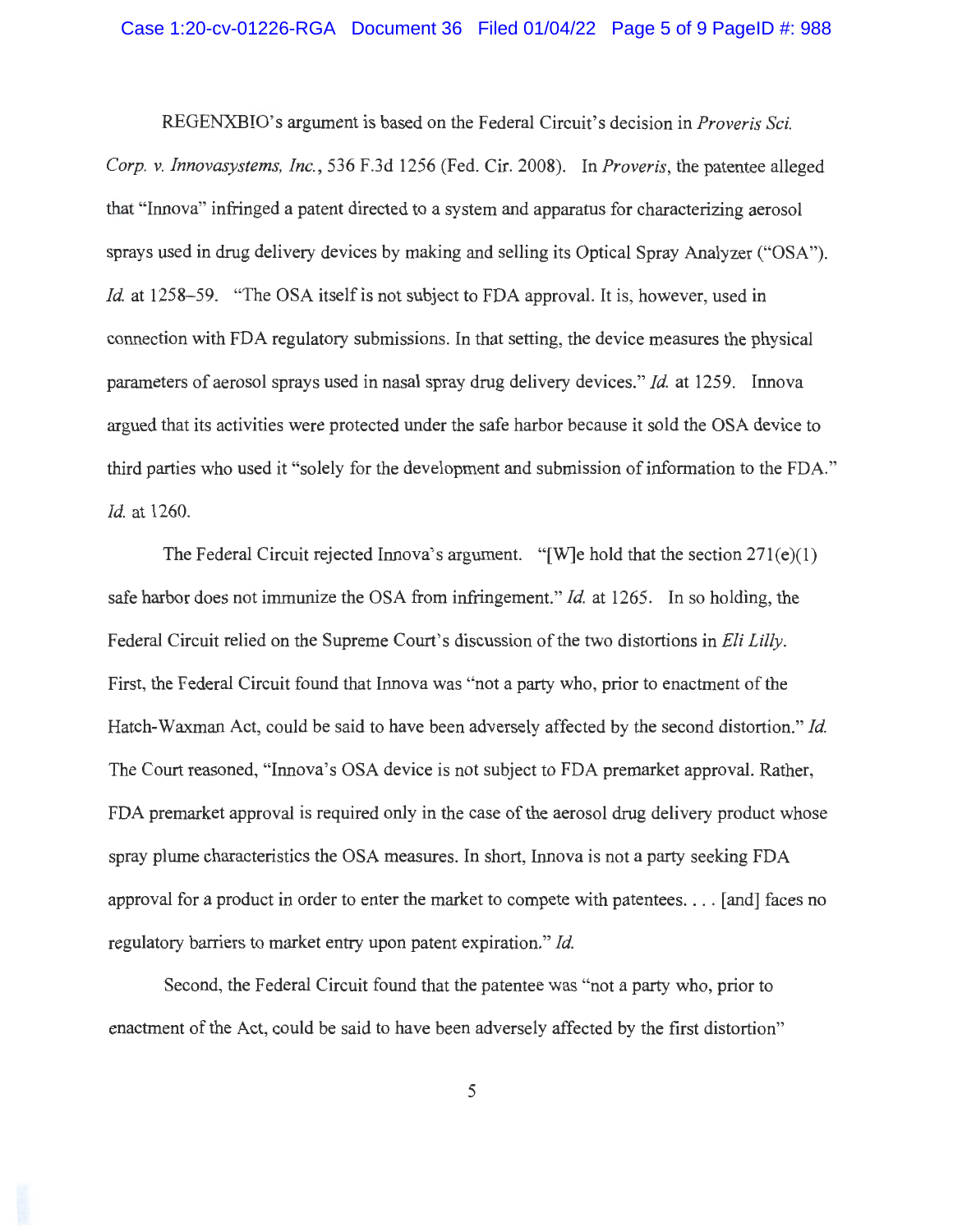REGENXBIO's argument is based on the Federal Circuit's decision in *Proveris Sci. Corp. v. Innovasystems, Inc. ,* 536 F.3d 1256 (Fed. Cir. 2008). In *Proveris,* the patentee alleged that "Innova" infringed a patent directed to a system and apparatus for characterizing aerosol sprays used in drug delivery devices by making and selling its Optical Spray Analyzer ("OSA"). *Id.* at 1258–59. "The OSA itself is not subject to FDA approval. It is, however, used in connection with FDA regulatory submissions. In that setting, the device measures the physical parameters of aerosol sprays used in nasal spray drug delivery devices." *Id.* at 1259. Innova argued that its activities were protected under the safe harbor because it sold the OSA device to third parties who used it "solely for the development and submission of information to the FDA." *Id.* at 1260.

The Federal Circuit rejected Innova's argument. "[W]e hold that the section  $271(e)(1)$ safe harbor does not immunize the OSA from infringement." *Id.* at 1265. In so holding, the Federal Circuit relied on the Supreme Court's discussion of the two distortions in *Eli Lilly .*  First, the Federal Circuit found that Innova was "not a party who, prior to enactment of the Hatch-Waxman Act, could be said to have been adversely affected by the second distortion." *Id.*  The Court reasoned, "Innova's OSA device is not subject to FDA premarket approval. Rather, FDA premarket approval is required only in the case of the aerosol drug delivery product whose spray plume characteristics the OSA measures. In short, Innova is not a party seeking FDA approval for a product in order to enter the market to compete with patentees . ... [ and] faces no regulatory barriers to market entry upon patent expiration." *Id.* 

Second, the Federal Circuit found that the patentee was "not a party who, prior to enactment of the Act, could be said to have been adversely affected by the first distortion"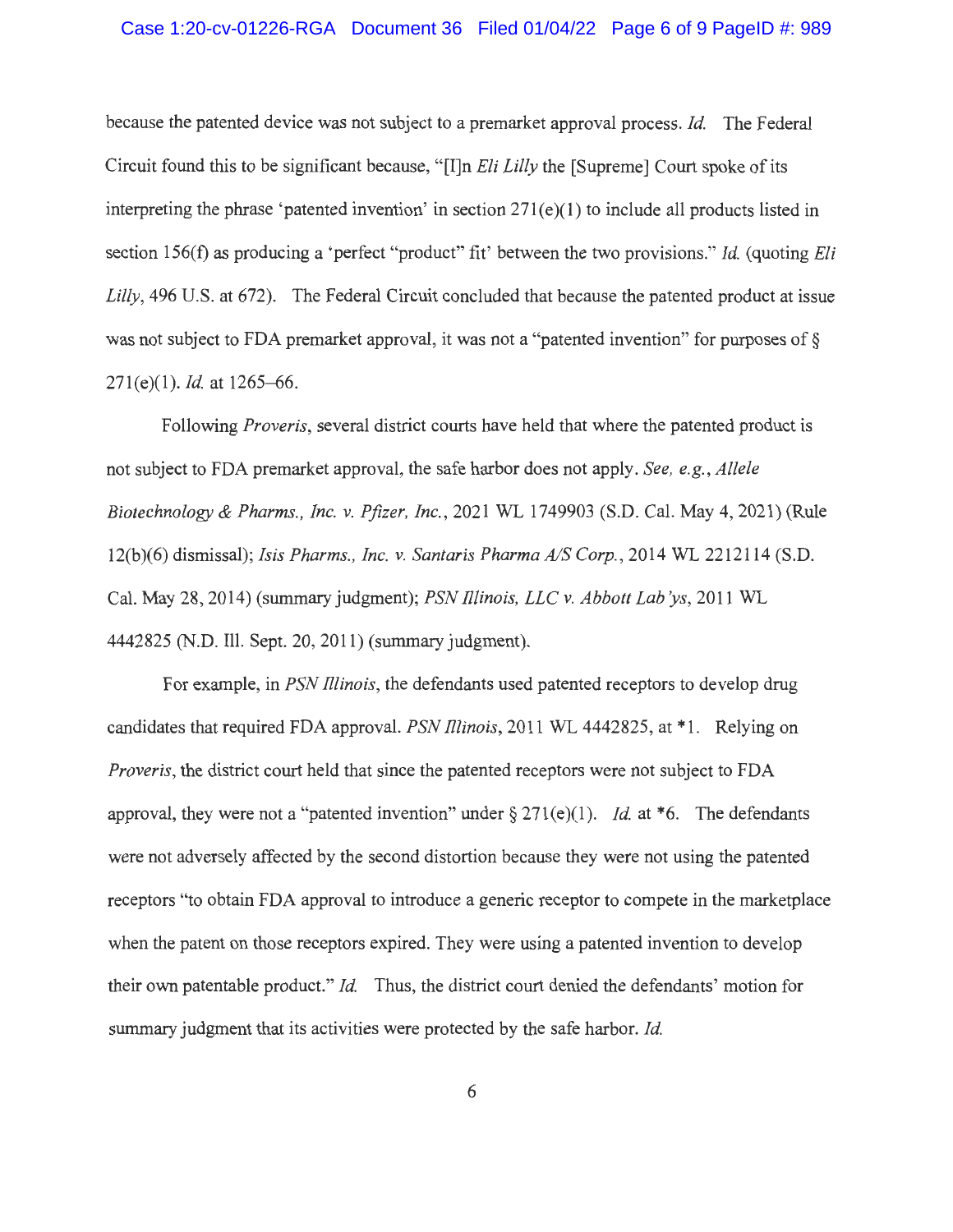#### Case 1:20-cv-01226-RGA Document 36 Filed 01/04/22 Page 6 of 9 PageID #: 989

because the patented device was not subject to a premarket approval process. *Id.* The Federal Circuit found this to be significant because, " [I]n *Eli Lilly* the [Supreme] Court spoke of its interpreting the phrase 'patented invention' in section  $271(e)(1)$  to include all products listed in section 156(f) as producing a 'perfect "product" fit' between the two provisions." *Id* (quoting *Eli Lilly,* 496 U.S. at 672). The Federal Circuit concluded that because the patented product at issue was not subject to FDA premarket approval, it was not a "patented invention" for purposes of § 271(e)(l). *Id* at 1265-66.

Following *Proveris,* several district courts have held that where the patented product is not subject to FDA premarket approval, the safe harbor does not apply. *See, e.g. , Allele Biotechnology & Pharms., Inc.* v. *Pfizer, Inc.,* 2021 WL 1749903 (S.D. Cal. May 4, 2021 ) (Rule 12(b)(6) dismissal); *Isis Pharms. , Inc.* v. *Santaris Pharma A/S Corp. ,* 2014 WL 2212114 (S.D. Cal. May 28, 2014) (summary judgment); *PSN Illinois, LLC v. Abbott Lab'ys*, 2011 WL 4442825 (N.D. Ill. Sept. 20, 2011) (summary judgment).

For example, in *PSN fllinois,* the defendants used patented receptors to develop drug candidates that required FDA approval. *PSN fllinois,* 2011 WL 4442825, at \*l. Relying on *Proveris,* the district court held that since the patented receptors were not subject to FDA approval, they were not a "patented invention" under  $\S 271(e)(1)$ . *Id.* at \*6. The defendants were not adversely affected by the second distortion because they were not using the patented receptors "to obtain FDA approval to introduce a generic receptor to compete in the marketplace when the patent on those receptors expired. They were using a patented invention to develop their own patentable product." *Id.* Thus, the district court denied the defendants' motion for summary judgment that its activities were protected by the safe harbor. *Id*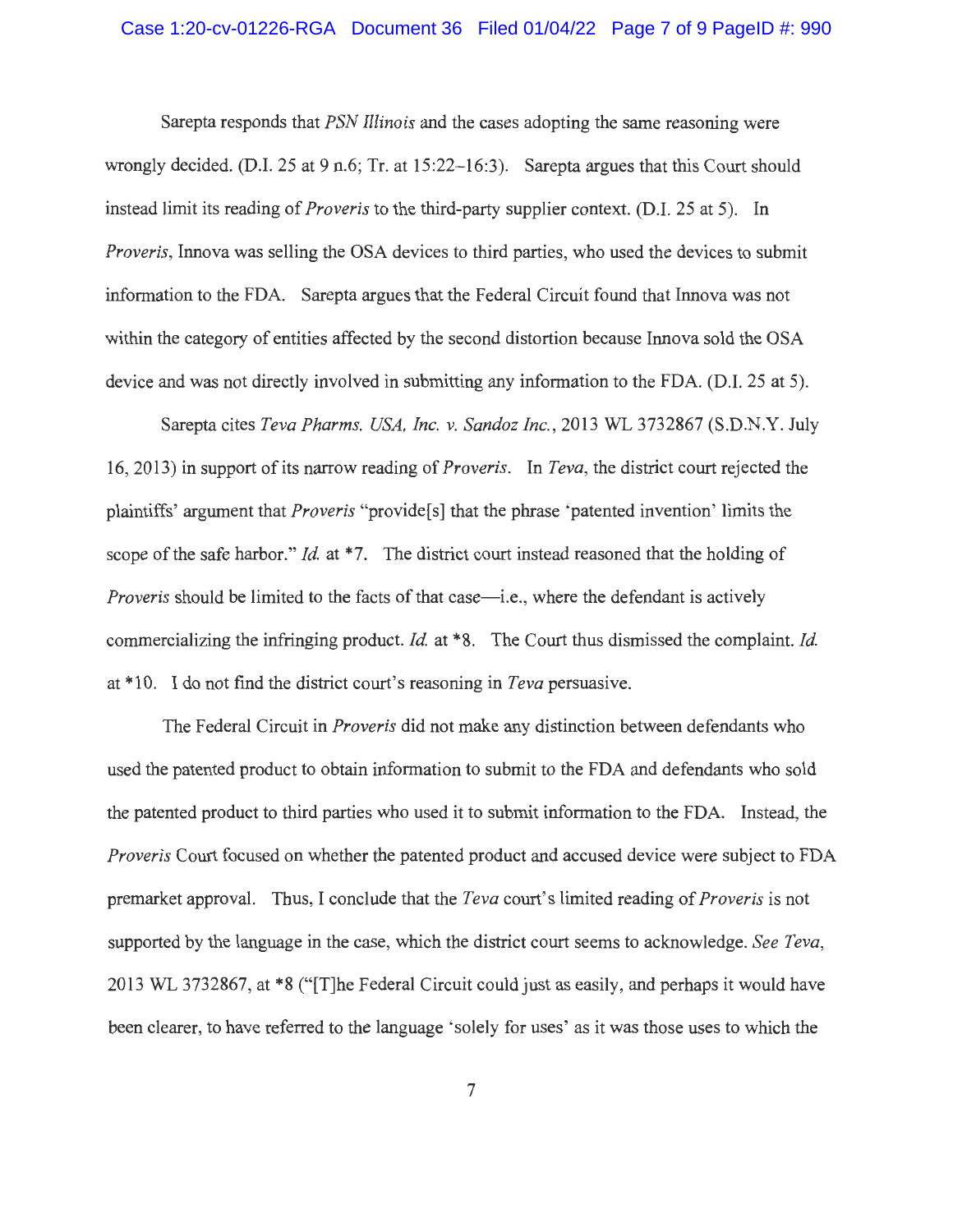### Case 1:20-cv-01226-RGA Document 36 Filed 01/04/22 Page 7 of 9 PageID #: 990

Sarepta responds that *PSN lllinois* and the cases adopting the same reasoning were wrongly decided. (D.I. 25 at 9 n.6; Tr. at 15:22–16:3). Sarepta argues that this Court should instead limit its reading of *Proveris* to the third-party supplier context. (D.I. 25 at 5). In *Proveris,* Innova was selling the OSA devices to third parties, who used the devices to submit information to the FDA. Sarepta argues that the Federal Circuit found that Innova was not within the category of entities affected by the second distortion because Innova sold the OSA device and was not directly involved in submitting any information to the FDA. (D.I. 25 at 5).

Sarepta cites *Teva Pharms. USA, Inc. v. Sandoz Inc. ,* 2013 WL 3732867 (S.D.N.Y. July 16, 2013) in support of its narrow reading of *Proveris.* In *Teva,* the district court rejected the plaintiffs' argument that *Proveris* "provide[s] that the phrase 'patented invention' limits the scope of the safe harbor." *Id.* at \*7. The district court instead reasoned that the holding of *Proveris* should be limited to the facts of that case—i.e., where the defendant is actively commercializing the infringing product. *Id.* at \*8. The Court thus dismissed the complaint. *Id.*  at \*10. I do not find the district court's reasoning in *Teva* persuasive.

The Federal Circuit in *Proveris* did not make any distinction between defendants who used the patented product to obtain information to submit to the FDA and defendants who sold the patented product to third parties who used it to submit information to the FDA. Instead, the *Proveris* Court focused on whether the patented product and accused device were subject to FDA premarket approval. Thus, I conclude that the *Teva* court's limited reading of *Proveris* is not supported by the language in the case, which the district court seems to acknowledge. *See Teva,*  2013 WL 3732867, at \*8 ("[T]he Federal Circuit could just as easily, and perhaps it would have been clearer, to have referred to the language 'solely for uses' as it was those uses to which the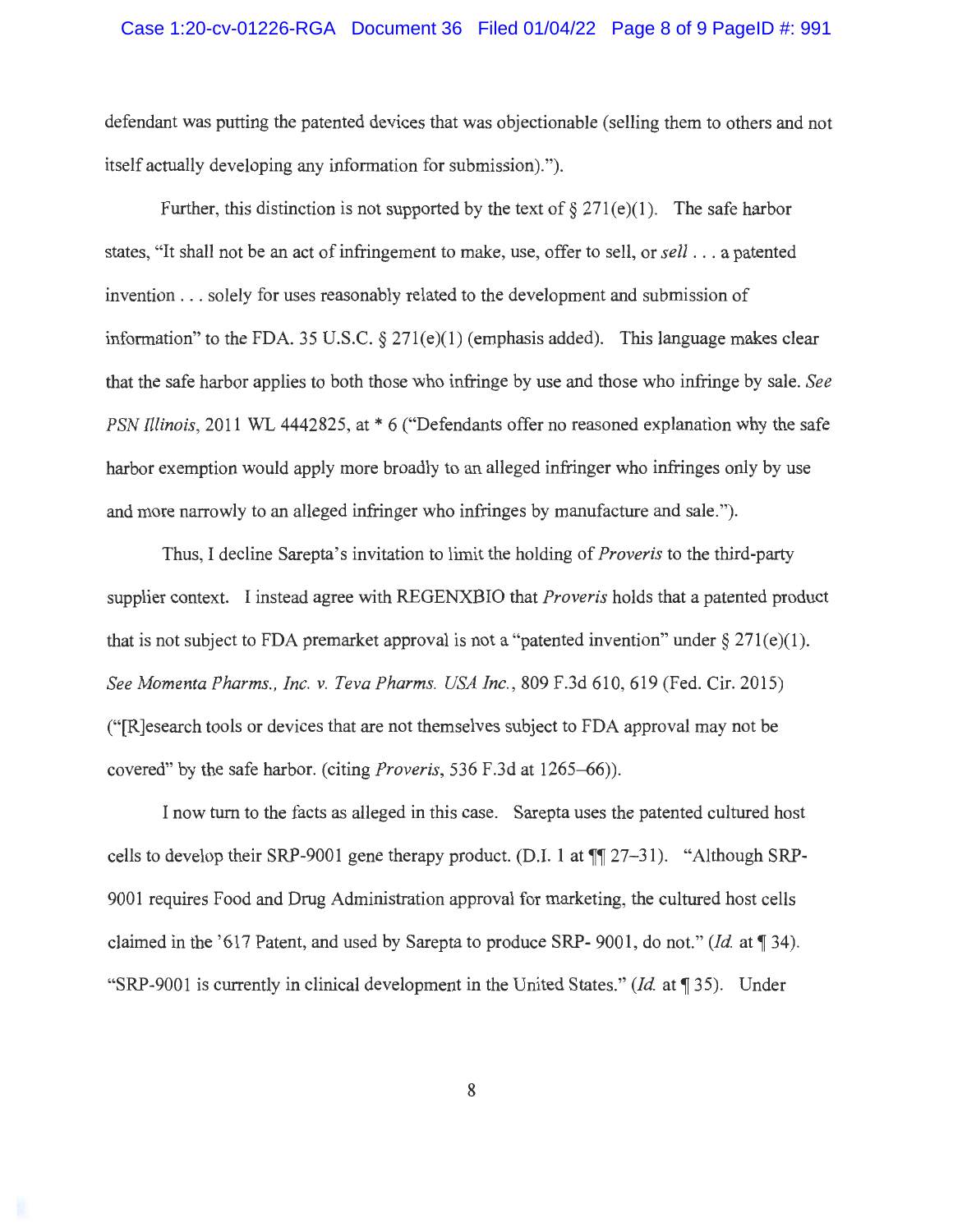### Case 1:20-cv-01226-RGA Document 36 Filed 01/04/22 Page 8 of 9 PageID #: 991

defendant was putting the patented devices that was objectionable (selling them to others and not itself actually developing any information for submission).").

Further, this distinction is not supported by the text of  $\S 271(e)(1)$ . The safe harbor states, "It shall not be an act of infringement to make, use, offer to sell, or *sell* ... a patented invention ... solely for uses reasonably related to the development and submission of information" to the FDA. 35 U.S.C.  $\S 271(e)(1)$  (emphasis added). This language makes clear that the safe harbor applies to both those who infringe by use and those who infringe by sale. *See PSN Illinois,* 2011 WL 4442825, at  $*$  6 ("Defendants offer no reasoned explanation why the safe harbor exemption would apply more broadly to an alleged infringer who infringes only by use and more narrowly to an alleged infringer who infringes by manufacture and sale.").

Thus, I decline Sarepta's invitation to limit the holding of *Proveris* to the third-party supplier context. I instead agree with REGENXBIO that *Proveris* holds that a patented product that is not subject to FDA premarket approval is not a "patented invention" under  $\S 271(e)(1)$ . *See Momenta Pharms., Inc. v. Teva Pharms. USA Inc.,* 809 F.3d 610,619 (Fed. Cir. 2015) ("[R]esearch tools or devices that are not themselves subject to FDA approval may not be covered" by the safe harbor. (citing *Proveris,* 536 F.3d at 1265-66)).

I now turn to the facts as alleged in this case. Sarepta uses the patented cultured host cells to develop their SRP-9001 gene therapy product. (D.I. 1 at  $\P$  127-31). "Although SRP-9001 requires Food and Drug Administration approval for marketing, the cultured host cells claimed in the '617 Patent, and used by Sarepta to produce SRP- 9001, do not." *(Id.* at 134). "SRP-9001 is currently in clinical development in the United States." (*Id.* at 135). Under

8